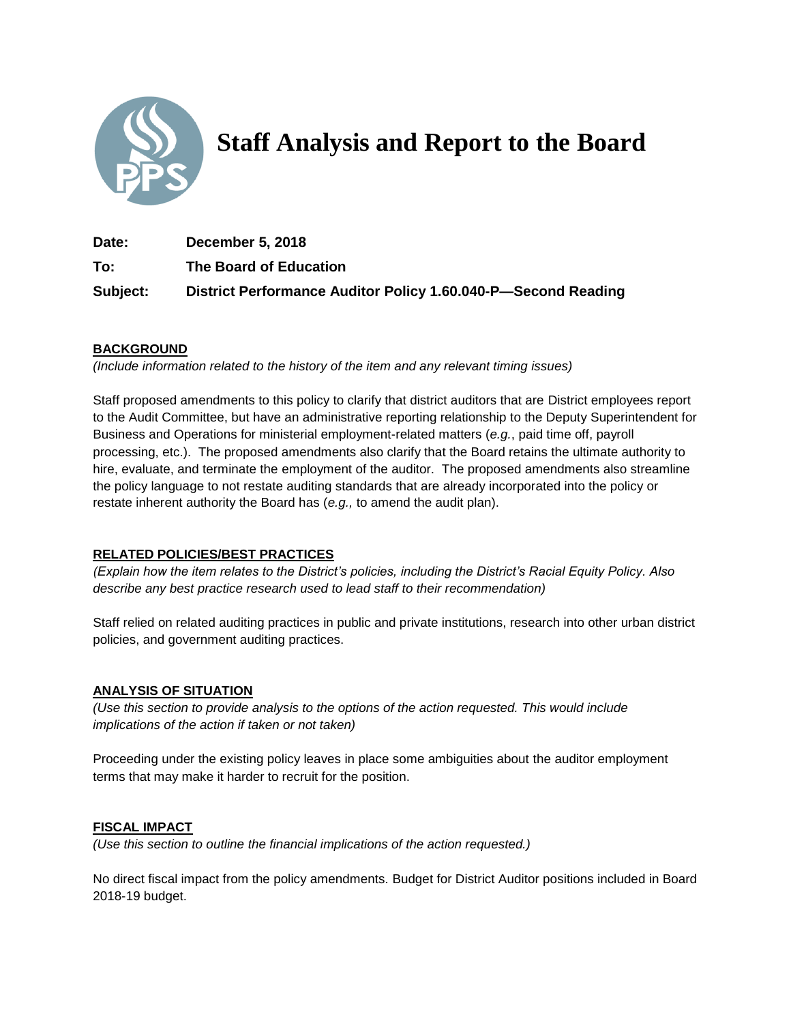

# **Staff Analysis and Report to the Board**

**Date: December 5, 2018 To: The Board of Education Subject: District Performance Auditor Policy 1.60.040-P—Second Reading**

## **BACKGROUND**

*(Include information related to the history of the item and any relevant timing issues)*

Staff proposed amendments to this policy to clarify that district auditors that are District employees report to the Audit Committee, but have an administrative reporting relationship to the Deputy Superintendent for Business and Operations for ministerial employment-related matters (*e.g.*, paid time off, payroll processing, etc.). The proposed amendments also clarify that the Board retains the ultimate authority to hire, evaluate, and terminate the employment of the auditor. The proposed amendments also streamline the policy language to not restate auditing standards that are already incorporated into the policy or restate inherent authority the Board has (*e.g.,* to amend the audit plan).

### **RELATED POLICIES/BEST PRACTICES**

*(Explain how the item relates to the District's policies, including the District's Racial Equity Policy. Also describe any best practice research used to lead staff to their recommendation)*

Staff relied on related auditing practices in public and private institutions, research into other urban district policies, and government auditing practices.

### **ANALYSIS OF SITUATION**

*(Use this section to provide analysis to the options of the action requested. This would include implications of the action if taken or not taken)*

Proceeding under the existing policy leaves in place some ambiguities about the auditor employment terms that may make it harder to recruit for the position.

### **FISCAL IMPACT**

*(Use this section to outline the financial implications of the action requested.)*

No direct fiscal impact from the policy amendments. Budget for District Auditor positions included in Board 2018-19 budget.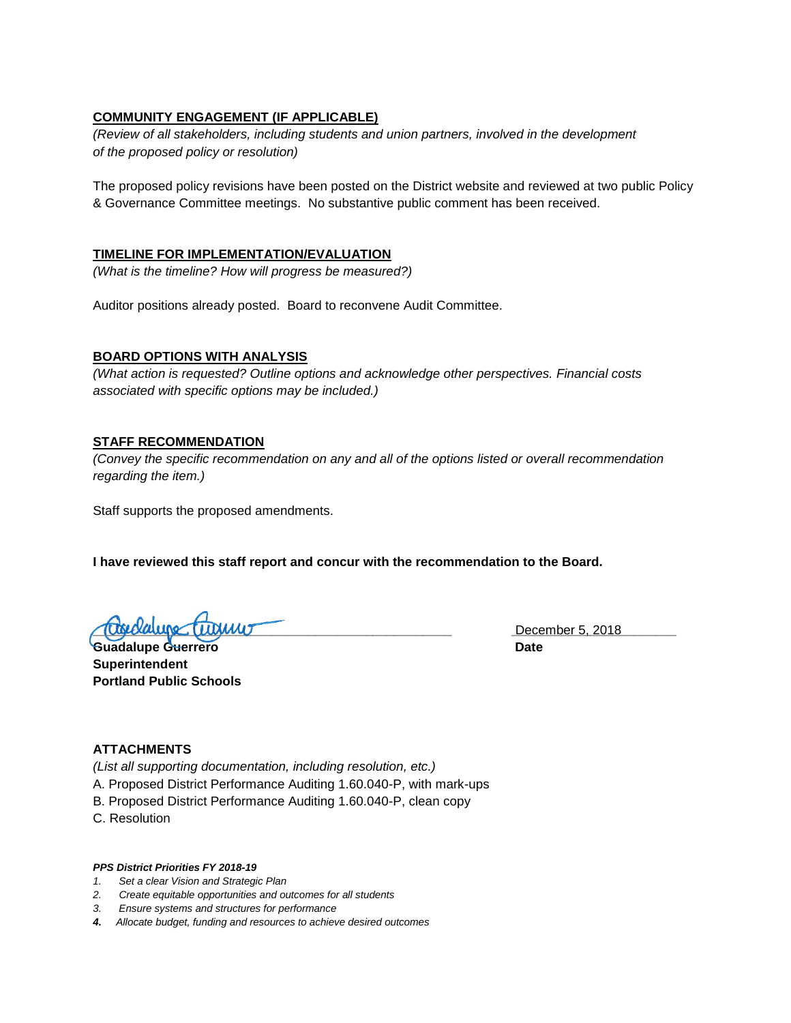### **COMMUNITY ENGAGEMENT (IF APPLICABLE)**

*(Review of all stakeholders, including students and union partners, involved in the development of the proposed policy or resolution)*

The proposed policy revisions have been posted on the District website and reviewed at two public Policy & Governance Committee meetings. No substantive public comment has been received.

### **TIMELINE FOR IMPLEMENTATION/EVALUATION**

*(What is the timeline? How will progress be measured?)*

Auditor positions already posted. Board to reconvene Audit Committee.

### **BOARD OPTIONS WITH ANALYSIS**

*(What action is requested? Outline options and acknowledge other perspectives. Financial costs associated with specific options may be included.)*

### **STAFF RECOMMENDATION**

*(Convey the specific recommendation on any and all of the options listed or overall recommendation regarding the item.)*

Staff supports the proposed amendments.

**I have reviewed this staff report and concur with the recommendation to the Board.**

**\_\_\_\_\_\_\_\_\_\_\_\_\_\_\_\_\_\_\_\_\_\_\_\_\_\_\_\_\_\_\_\_\_\_\_\_\_\_\_\_\_\_\_\_\_\_\_\_\_\_ \_\_\_\_\_\_\_\_\_\_\_\_\_\_\_\_\_\_\_\_\_\_\_** December 5, 2018

**Guadalupe Guerrero Cataloguerro Date Superintendent Portland Public Schools**

### **ATTACHMENTS**

*(List all supporting documentation, including resolution, etc.)* A. Proposed District Performance Auditing 1.60.040-P, with mark-ups B. Proposed District Performance Auditing 1.60.040-P, clean copy

C. Resolution

### *PPS District Priorities FY 2018-19*

- *1. Set a clear Vision and Strategic Plan*
- *2. Create equitable opportunities and outcomes for all students*
- *3. Ensure systems and structures for performance*
- *4. Allocate budget, funding and resources to achieve desired outcomes*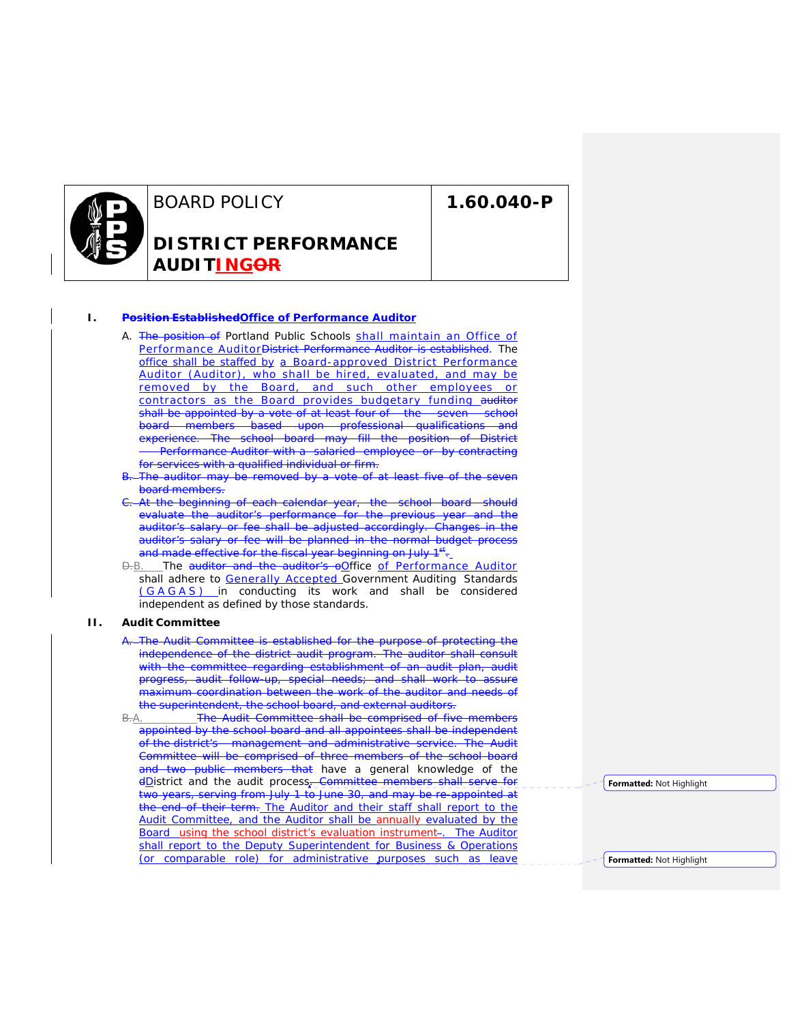

BOARD POLICY **DISTRICT PERFORMANCE AUDITINGOR**

**1.60.040-P**

### **I. Position EstablishedOffice of Performance Auditor**

- A. The position of Portland Public Schools shall maintain an Office of Performance AuditorDistrict Performance Auditor is established. The office shall be staffed by a Board-approved District Performance Auditor (Auditor), who shall be hired, evaluated, and may be removed by the Board, and such other employees or contractors as the Board provides budgetary funding auditor shall be appointed by a vote of at least four of the seven school board members based upon professional qualifications and experience. The school board may fill the position of District Performance Auditor with a salaried employee or by contracting for services with a qualified individual or firm.
- The auditor may be removed by a vote of at least five of the seven board members.
- At the beginning of each calendar year, the school board should evaluate the auditor's performance for the previous year and the auditor's salary or fee shall be adjusted accordingly. Changes in the auditor's salary or fee will be planned in the normal budget process and made effective for the fiscal year beginning on July 1<sup>st</sup>.
- $\Theta$ -B. The auditor and the auditor's oOffice of Performance Auditor shall adhere to **Generally Accepted Government Auditing Standards** (GAGAS) in conducting its work and shall be considered independent as defined by those standards.

#### **II. Audit Committee**

- A. The Audit Committee is established for the purpose of protecting the independence of the district audit program. The auditor shall consult with the committee regarding establishment of an audit plan, audit progress, audit follow-up, special needs; and shall work to assure maximum coordination between the work of the auditor and needs of the superintendent, the school board, and external auditors.
- B.A. The Audit Committee shall be comprised of five members appointed by the school board and all appointees shall be independent of the district's management and administrative service. The Audit Committee will be comprised of three members of the school board and two public members that have a general knowledge of the dDistrict and the audit process. Committee members shall serve for two years, serving from July 1 to June 30, and may be re-appointed at the end of their term. The Auditor and their staff shall report to the Audit Committee, and the Auditor shall be annually evaluated by the Board using the school district's evaluation instrument-. The Auditor shall report to the Deputy Superintendent for Business & Operations (or comparable role) for administrative purposes such as leave

**Formatted:** Not Highlight

**Formatted:** Not Highlight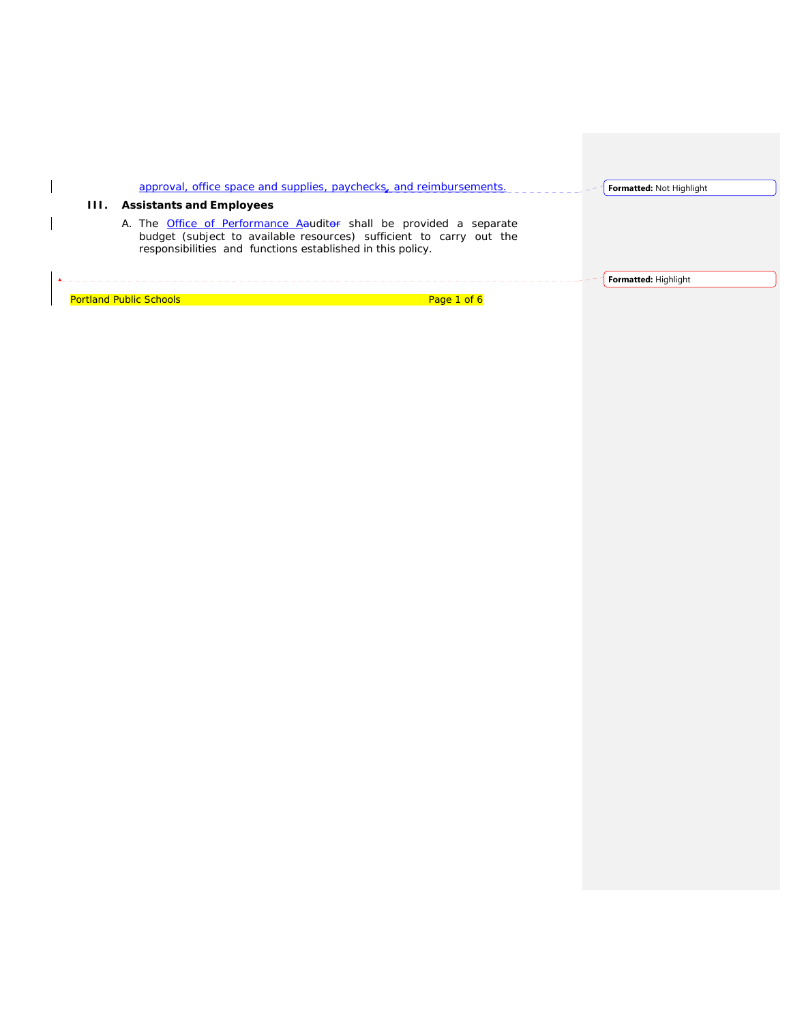|      | approval, office space and supplies, paychecks, and reimbursements.                                                                                                                                                                         | <b>Formatted: Not Highlight</b> |
|------|---------------------------------------------------------------------------------------------------------------------------------------------------------------------------------------------------------------------------------------------|---------------------------------|
| 111. | <b>Assistants and Employees</b><br>A. The Office of Performance A auditor shall be provided a separate<br>budget (subject to available resources) sufficient to carry out the<br>responsibilities and functions established in this policy. |                                 |
|      | <b>Portland Public Schools</b><br>Page 1 of 6                                                                                                                                                                                               | <b>Formatted: Highlight</b>     |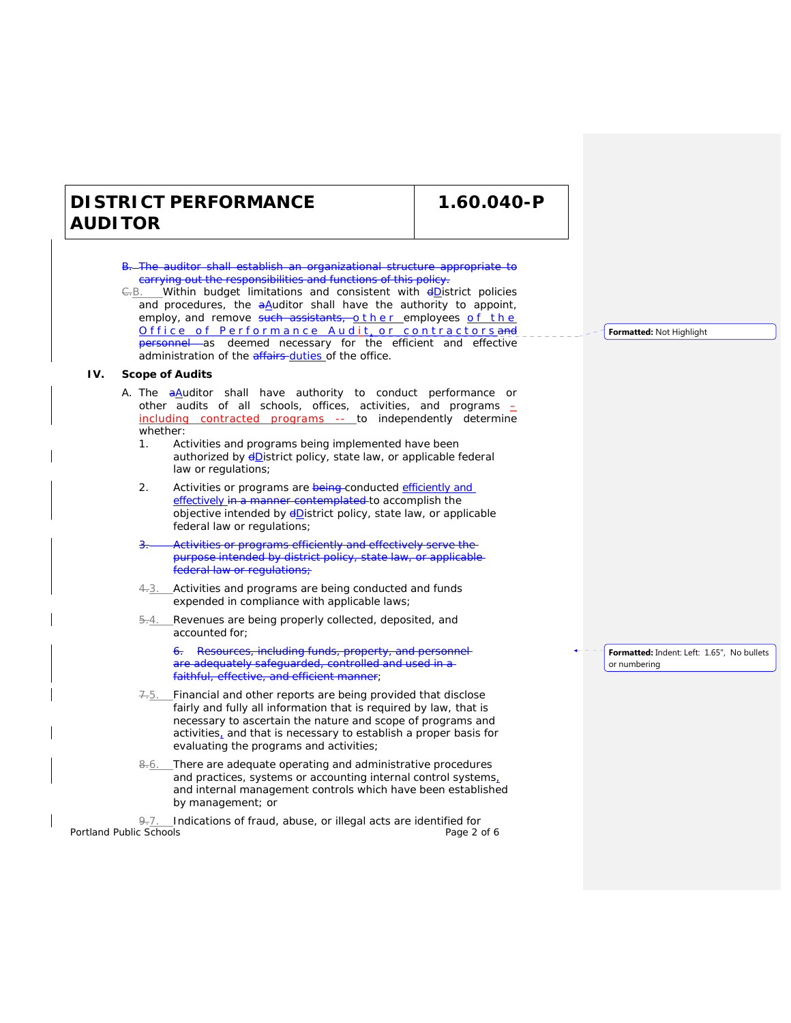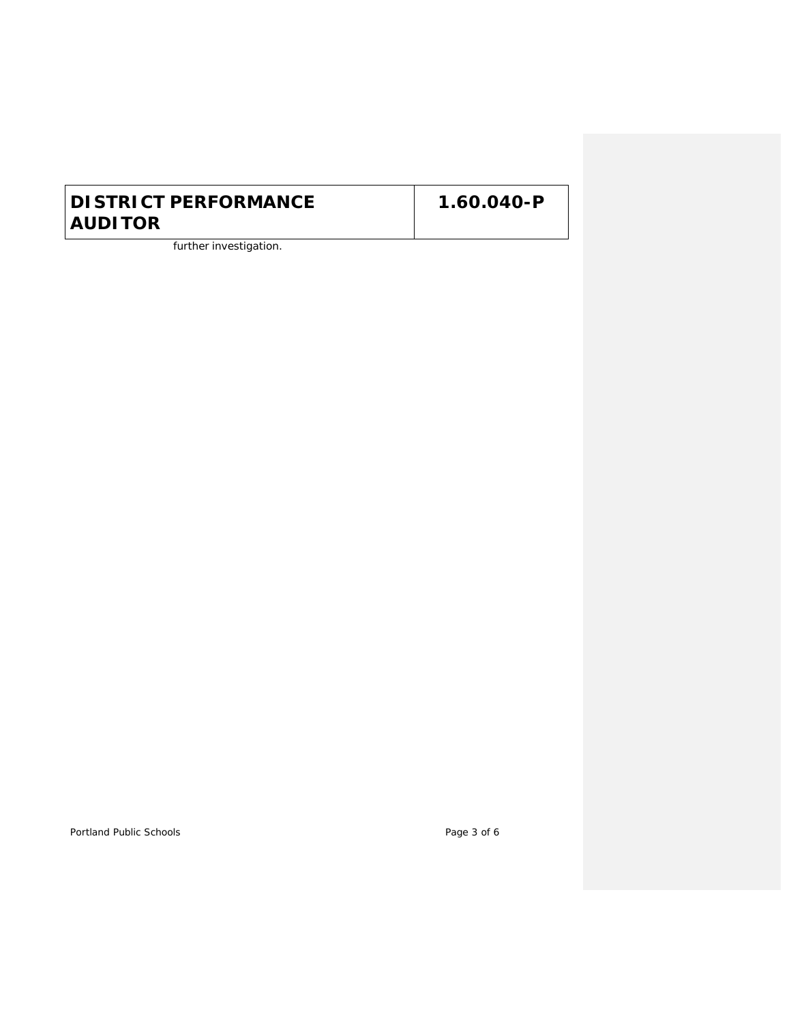further investigation.

Portland Public Schools **Page 3 of 6**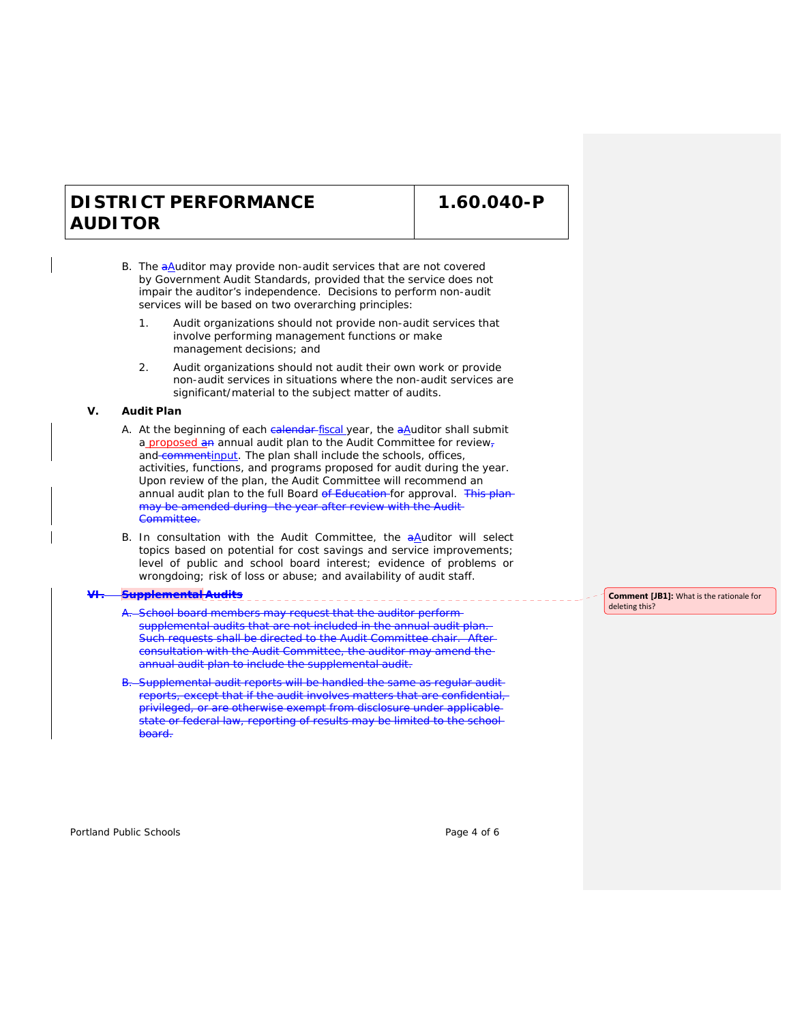**1.60.040-P**

- B. The aAuditor may provide non-audit services that are not covered by Government Audit Standards, provided that the service does not impair the auditor's independence. Decisions to perform non-audit services will be based on two overarching principles:
	- 1. Audit organizations should not provide non-audit services that involve performing management functions or make management decisions; and
	- 2. Audit organizations should not audit their own work or provide non-audit services in situations where the non-audit services are significant/material to the subject matter of audits.

#### **V. Audit Plan**

- A. At the beginning of each calendar-fiscal year, the aAuditor shall submit a proposed an annual audit plan to the Audit Committee for reviewand commentinput. The plan shall include the schools, offices, activities, functions, and programs proposed for audit during the year. Upon review of the plan, the Audit Committee will recommend an annual audit plan to the full Board of Education for approval. This planmay be amended during the year after review with the Audit Committee.
- B. In consultation with the Audit Committee, the  $a\Delta$ uditor will select topics based on potential for cost savings and service improvements; level of public and school board interest; evidence of problems or wrongdoing; risk of loss or abuse; and availability of audit staff.

### **VI. Supplemental Audits**

- -School board members may request that the auditor performsupplemental audits that are not included in the annual audit plan. Such requests shall be directed to the Audit Committee chair. Afterconsultation with the Audit Committee, the auditor may amend the annual audit plan to include the supplemental audit.
- Supplemental audit reports will be handled the same as regular audit reports, except that if the audit involves matters that are confidential, privileged, or are otherwise exempt from disclosure under applicable state or federal law, reporting of results may be limited to the school board.

**Comment [JB1]:** What is the rationale for deleting this?

Portland Public Schools **Page 4 of 6** and 2011 **Page 4 of 6** and 2012 **Page 4 of 6**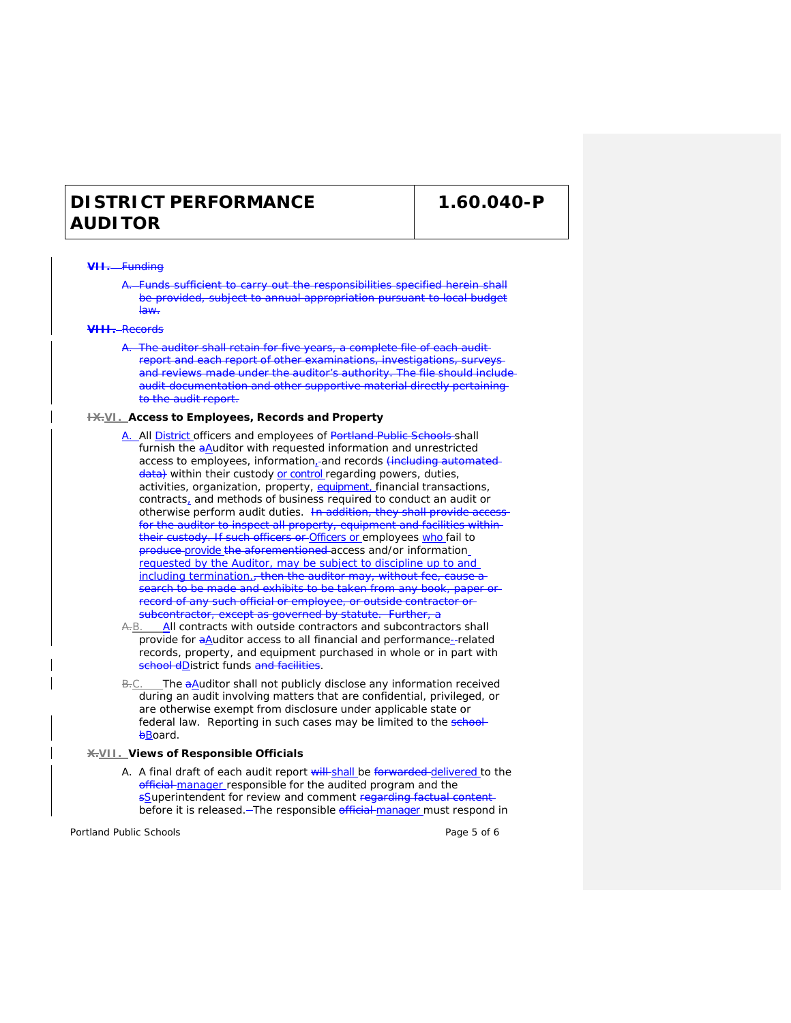**1.60.040-P**

#### **Funding**

Funds sufficient to carry out the responsibilities specified herein shall be provided, subject to annual appropriation pursuant to local budget law.

#### **VIII.** Records

A. The auditor shall retain for five years, a complete file of each auditreport and each report of other examinations, investigations, surveys and reviews made under the auditor's authority. The file should inclue audit documentation and other supportive material directly pertainingto the audit report.

#### **IX.VI. Access to Employees, Records and Property**

- A. All District officers and employees of Portland Public Schools shall furnish the aAuditor with requested information and unrestricted access to employees, information, and records (including automated data) within their custody or control regarding powers, duties, activities, organization, property, equipment, financial transactions, contracts, and methods of business required to conduct an audit or otherwise perform audit duties. In addition, they shall provide acc for the auditor to inspect all property, equipment and facilities withintheir custody. If such officers or Officers or employees who fail to produce provide the aforementioned access and/or information requested by the Auditor, may be subject to discipline up to and including termination., then the auditor may, without fee, cause a **Search to be made and exhibits to be taken from any book, paper or**record of any such official or employee, or outside contractor or subcontractor, except as governed by statute. Further, a
- A.B. All contracts with outside contractors and subcontractors shall provide for  $a\Delta$ uditor access to all financial and performance-related records, property, and equipment purchased in whole or in part with school dDistrict funds and facilities.
- $B-C.$  The  $aA$ uditor shall not publicly disclose any information received during an audit involving matters that are confidential, privileged, or are otherwise exempt from disclosure under applicable state or federal law. Reporting in such cases may be limited to the school**bBoard**.

### **X.VII. Views of Responsible Officials**

A. A final draft of each audit report will-shall be forwarded-delivered to the official manager responsible for the audited program and the sSuperintendent for review and comment regarding factual content before it is released. - The responsible official manager must respond in

Portland Public Schools Page 5 of 6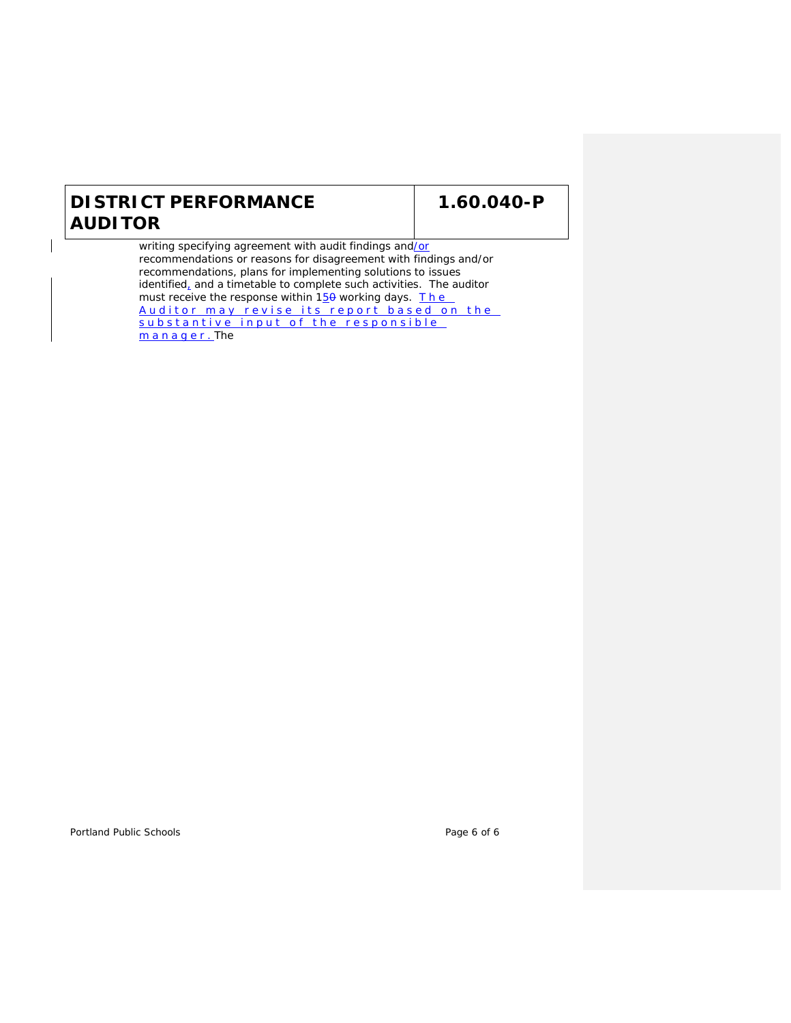# **1.60.040-P**

writing specifying agreement with audit findings and/or recommendations or reasons for disagreement with findings and/or recommendations, plans for implementing solutions to issues identified, and a timetable to complete such activities. The auditor must receive the response within  $15\theta$  working days. The Auditor may revise its report based on the substantive input of the responsible manager.The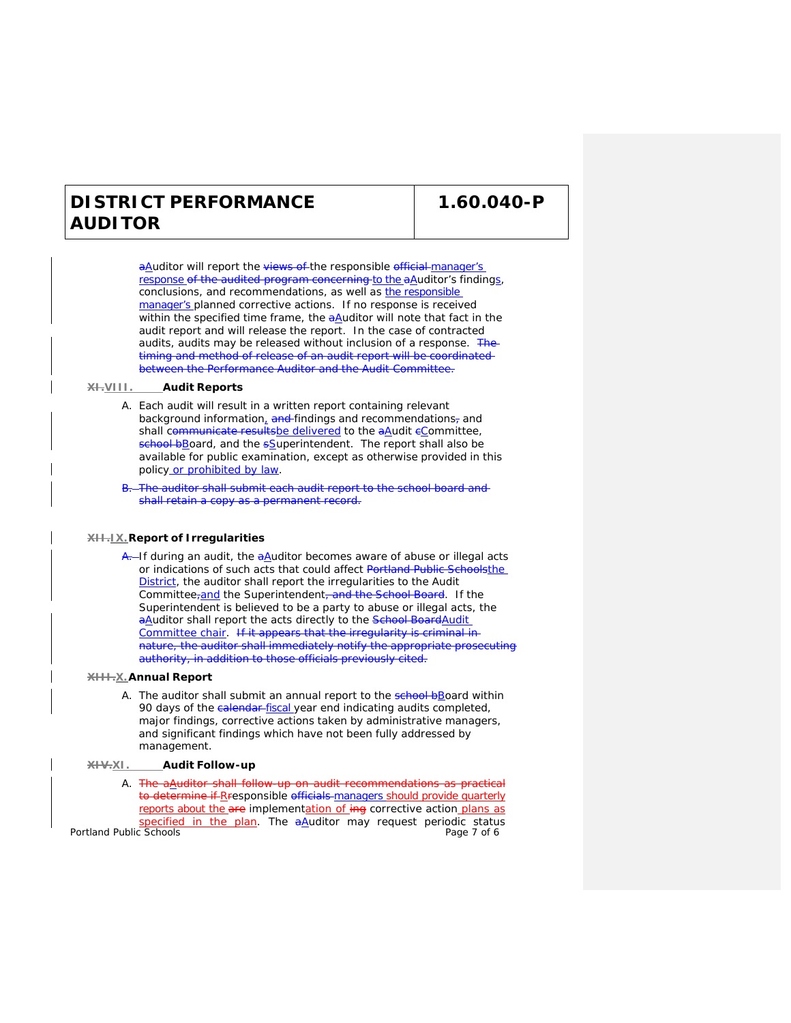**1.60.040-P**

aAuditor will report the views of the responsible official manager's response of the audited program concerning to the aAuditor's findings, conclusions, and recommendations, as well as the responsible manager's planned corrective actions. If no response is received within the specified time frame, the  $aA$ uditor will note that fact in the audit report and will release the report. In the case of contracted audits, audits may be released without inclusion of a response. The timing and method of release of an audit report will be coordinated between the Performance Auditor and the Audit Committee.

#### **XI.VIII. Audit Reports**

- A. Each audit will result in a written report containing relevant background information, and findings and recommendations, and shall communicate resultsbe delivered to the aAudit eCommittee, school bBoard, and the sSuperintendent. The report shall also be available for public examination, except as otherwise provided in this policy or prohibited by law.
- The auditor shall submit each audit report to the school board and shall retain a copy as a permanent record.

#### **XII.IX.Report of Irregularities**

A. If during an audit, the aAuditor becomes aware of abuse or illegal acts or indications of such acts that could affect Portland Public Schoolsthe District, the auditor shall report the irregularities to the Audit Committee<sub>r</sub>and the Superintendent, and the School Board. If the Superintendent is believed to be a party to abuse or illegal acts, the aAuditor shall report the acts directly to the School BoardAudit Committee chair. If it appears that the irregularity is criminal in nature, the auditor shall immediately notify the appropriate prosecuting authority, in addition to those officials previously cited.

#### **XIII.X.Annual Report**

A. The auditor shall submit an annual report to the school bBoard within 90 days of the *calendar-fiscal* year end indicating audits completed, major findings, corrective actions taken by administrative managers, and significant findings which have not been fully addressed by management.

#### **XIV.XI. Audit Follow-up**

Portland Public Schools **Page 7 of 6** A. The a Auditor shall follow-up on audit recommendations as practical to determine if Rresponsible officials managers should provide quarterly reports about the are implementation of ing corrective action plans as specified in the plan. The aAuditor may request periodic status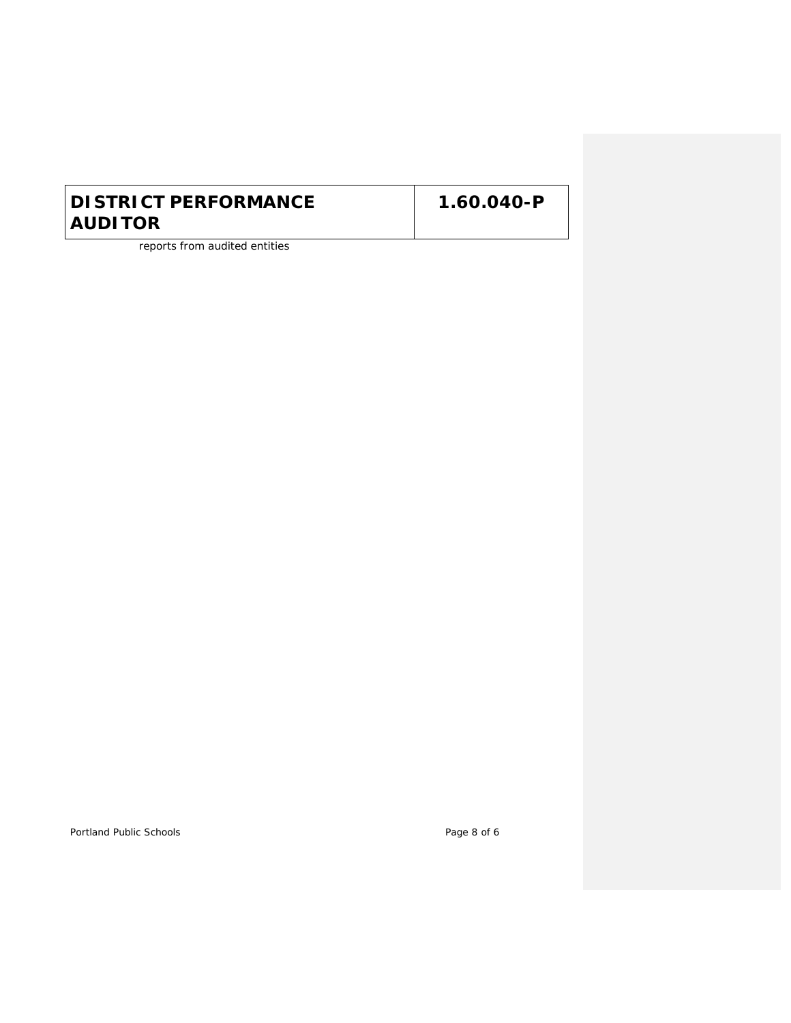reports from audited entities

Portland Public Schools **Page 8 of 6**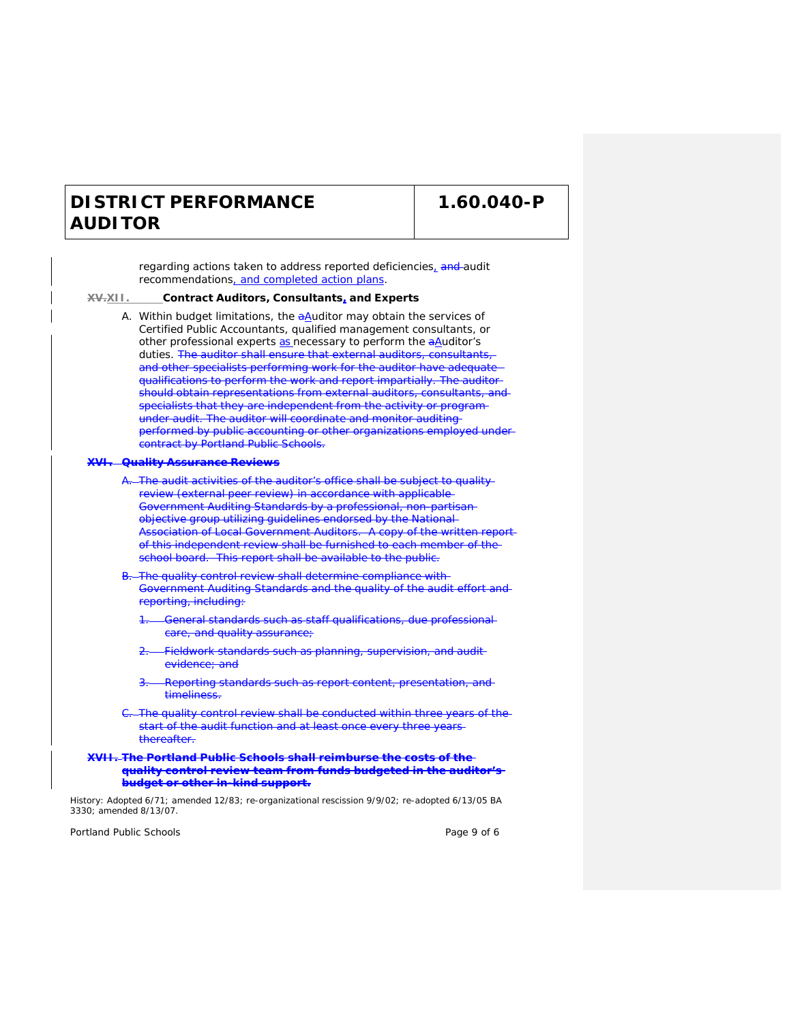**1.60.040-P**

regarding actions taken to address reported deficiencies, and audit recommendations, and completed action plans. **XV.XII. Contract Auditors, Consultants, and Experts** A. Within budget limitations, the  $aA$ uditor may obtain the services of Certified Public Accountants, qualified management consultants, or other professional experts as necessary to perform the aAuditor's duties. The auditor shall ensure that external auditors, consultants, and other specialists performing work for the auditor have adequate qualifications to perform the work and report impartially. The auditor should obtain representations from external auditors, consultants, and specialists that they are independent from the activity or program under audit. The auditor will coordinate and monitor auditing performed by public accounting or other organizations employed under contract by Portland Public Schools. **Auality Assurance Reviews** -The audit activities of the auditor's office shall be subject to quality review (external peer review) in accordance with applicable Government Auditing Standards by a professional, non-partisan objective group utilizing guidelines endorsed by the National Association of Local Government Auditors. A copy of the written reportof this independent review shall be furnished to each member of the school board. This report shall be available to the public. -The quality control review shall determine compliance with Government Auditing Standards and the quality of the audit effort and reporting, including: -General standards such as staff qualifications, due professionalcare, and quality assurance; 2. Fieldwork standards such as planning, supervision, and audit evidence; and Reporting standards such as report content, presentation, and timeliness. The quality control review shall be conducted within three years of the start of the audit function and at least once every three yearsthereafter. **XVII. The Portland Public Schools shall reimburse the costs of the quality control review team from funds budgeted in the auditor's budget or other in-kind support.**

History: Adopted 6/71; amended 12/83; re-organizational rescission 9/9/02; re-adopted 6/13/05 BA 3330; amended 8/13/07.

Portland Public Schools **Page 9 of 6** and 2011 12 and 2012 12 and 2012 12 and 2012 12 and 2012 12 and 2012 12 and 2012 12 and 2012 12 and 2012 12 and 2012 12 and 2012 12 and 2012 12 and 2012 12 and 2012 12 and 2012 12 and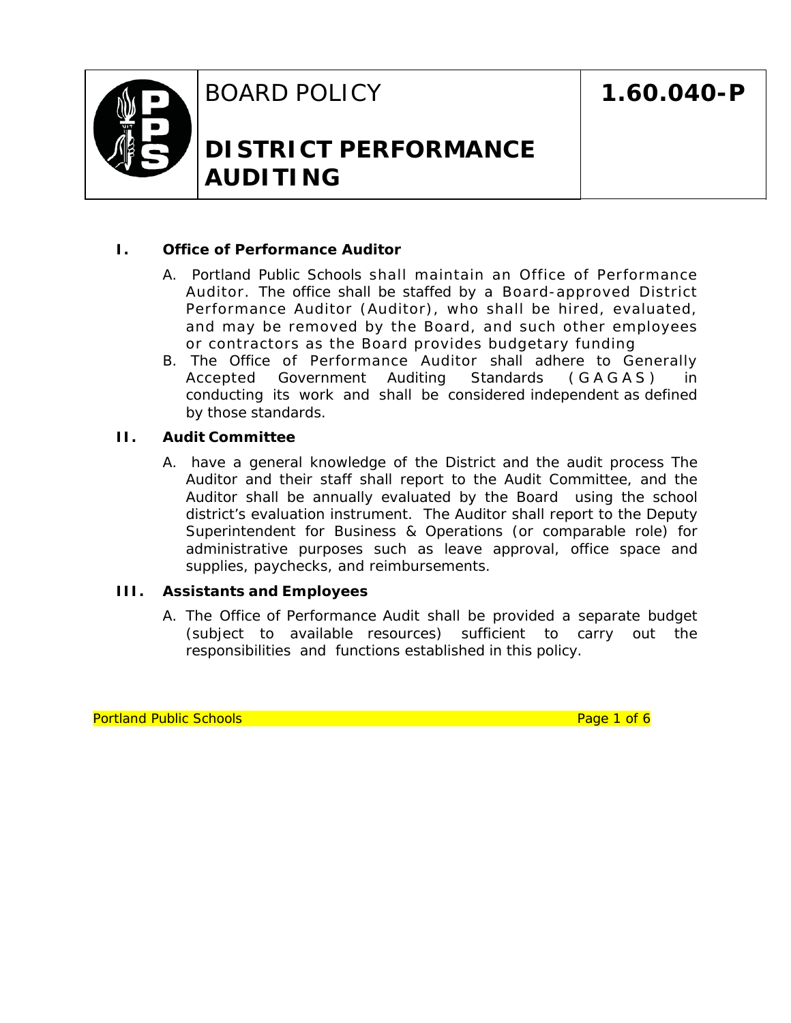

BOARD POLICY

# **DISTRICT PERFORMANCE AUDITING**

# **I. Office of Performance Auditor**

- A. Portland Public Schools shall maintain an Office of Performance Auditor. The office shall be staffed by a Board-approved District Performance Auditor (Auditor), who shall be hired, evaluated, and may be removed by the Board, and such other employees or contractors as the Board provides budgetary funding
- B. The Office of Performance Auditor shall adhere to Generally Accepted Government Auditing Standards (GAGAS) in conducting its work and shall be considered independent as defined by those standards.

# **II. Audit Committee**

A. have a general knowledge of the District and the audit process The Auditor and their staff shall report to the Audit Committee, and the Auditor shall be annually evaluated by the Board using the school district's evaluation instrument. The Auditor shall report to the Deputy Superintendent for Business & Operations (or comparable role) for administrative purposes such as leave approval, office space and supplies, paychecks, and reimbursements.

# **III. Assistants and Employees**

A. The Office of Performance Audit shall be provided a separate budget (subject to available resources) sufficient to carry out the responsibilities and functions established in this policy.

Portland Public Schools **Provides Page 1 of 6** Page 1 of 6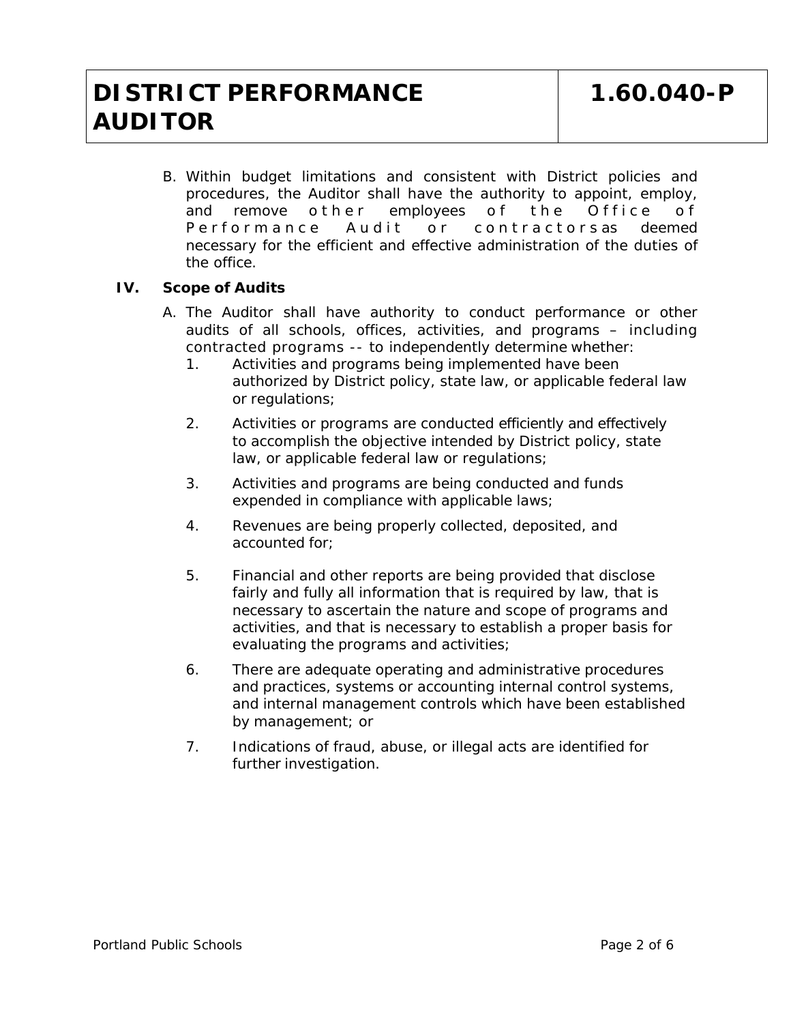B. Within budget limitations and consistent with District policies and procedures, the Auditor shall have the authority to appoint, employ, and remove o ther employees of the Office of Performance Audit or contractorsas deemed necessary for the efficient and effective administration of the duties of the office.

# **IV. Scope of Audits**

- A. The Auditor shall have authority to conduct performance or other audits of all schools, offices, activities, and programs – including contracted programs -- to independently determine whether:
	- 1. Activities and programs being implemented have been authorized by District policy, state law, or applicable federal law or regulations;
	- 2. Activities or programs are conducted efficiently and effectively to accomplish the objective intended by District policy, state law, or applicable federal law or regulations;
	- 3. Activities and programs are being conducted and funds expended in compliance with applicable laws;
	- 4. Revenues are being properly collected, deposited, and accounted for;
	- 5. Financial and other reports are being provided that disclose fairly and fully all information that is required by law, that is necessary to ascertain the nature and scope of programs and activities, and that is necessary to establish a proper basis for evaluating the programs and activities;
	- 6. There are adequate operating and administrative procedures and practices, systems or accounting internal control systems, and internal management controls which have been established by management; or
	- 7. Indications of fraud, abuse, or illegal acts are identified for further investigation.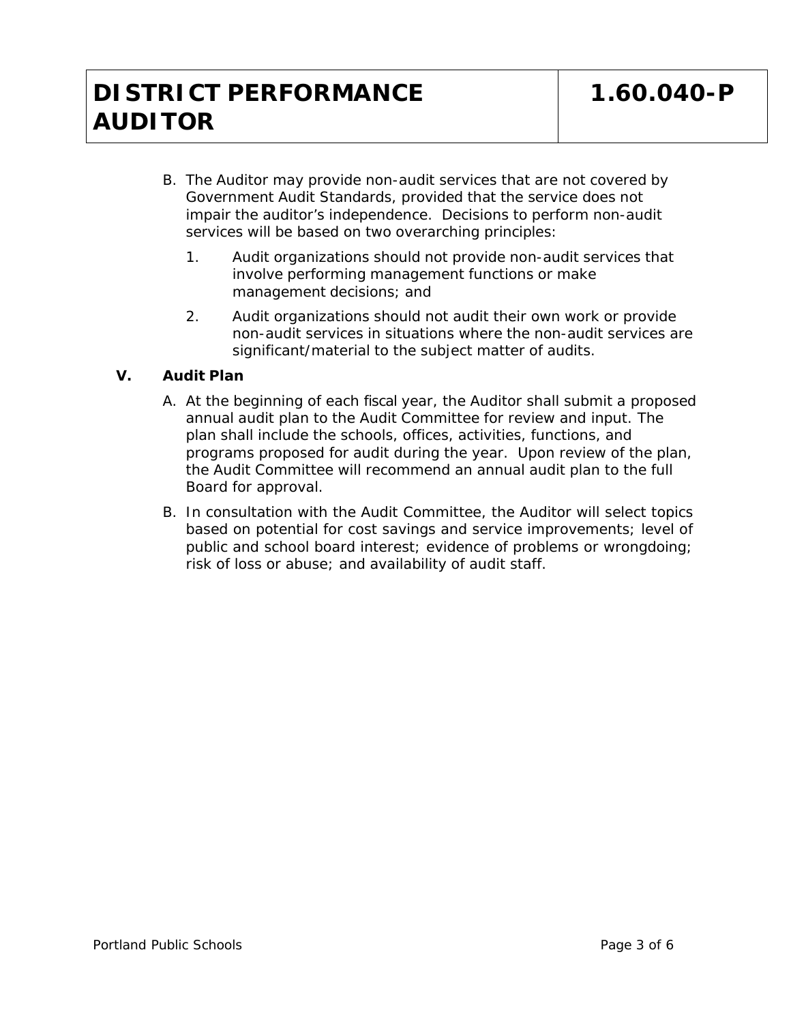- B. The Auditor may provide non-audit services that are not covered by Government Audit Standards, provided that the service does not impair the auditor's independence. Decisions to perform non-audit services will be based on two overarching principles:
	- 1. Audit organizations should not provide non-audit services that involve performing management functions or make management decisions; and
	- 2. Audit organizations should not audit their own work or provide non-audit services in situations where the non-audit services are significant/material to the subject matter of audits.

# **V. Audit Plan**

- A. At the beginning of each fiscal year, the Auditor shall submit a proposed annual audit plan to the Audit Committee for review and input. The plan shall include the schools, offices, activities, functions, and programs proposed for audit during the year. Upon review of the plan, the Audit Committee will recommend an annual audit plan to the full Board for approval.
- B. In consultation with the Audit Committee, the Auditor will select topics based on potential for cost savings and service improvements; level of public and school board interest; evidence of problems or wrongdoing; risk of loss or abuse; and availability of audit staff.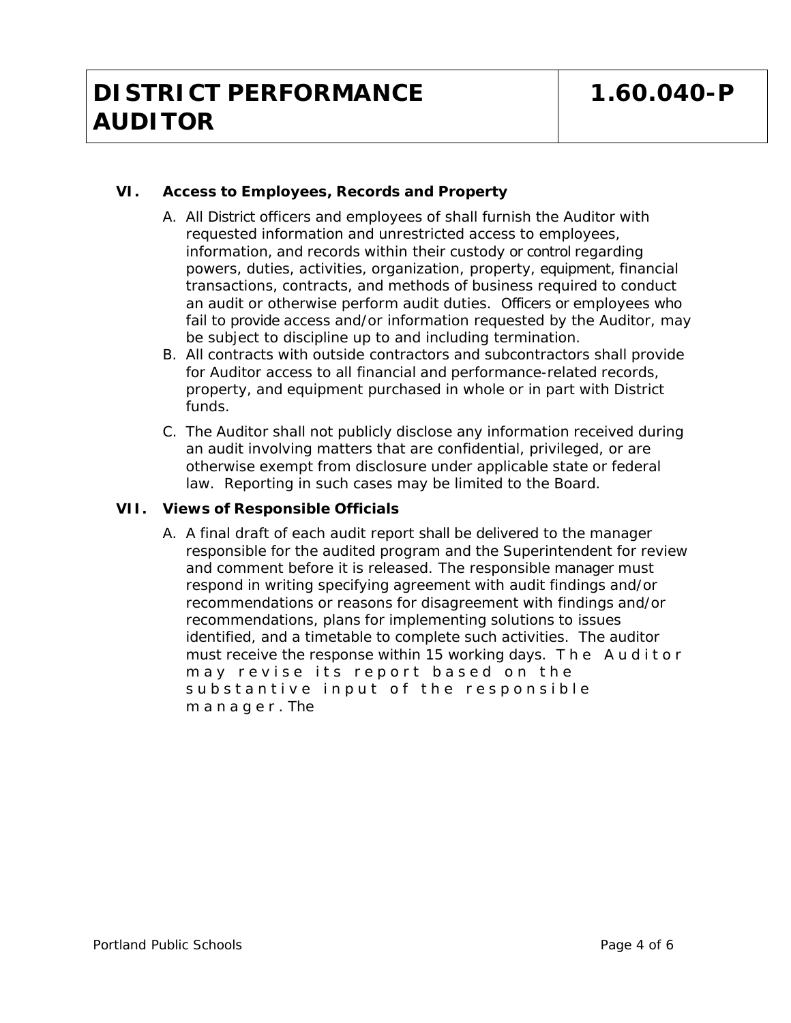# **VI. Access to Employees, Records and Property**

- A. All District officers and employees of shall furnish the Auditor with requested information and unrestricted access to employees, information, and records within their custody or control regarding powers, duties, activities, organization, property, equipment, financial transactions, contracts, and methods of business required to conduct an audit or otherwise perform audit duties. Officers or employees who fail to provide access and/or information requested by the Auditor, may be subject to discipline up to and including termination.
- B. All contracts with outside contractors and subcontractors shall provide for Auditor access to all financial and performance-related records, property, and equipment purchased in whole or in part with District funds.
- C. The Auditor shall not publicly disclose any information received during an audit involving matters that are confidential, privileged, or are otherwise exempt from disclosure under applicable state or federal law. Reporting in such cases may be limited to the Board.

# **VII. Views of Responsible Officials**

A. A final draft of each audit report shall be delivered to the manager responsible for the audited program and the Superintendent for review and comment before it is released. The responsible manager must respond in writing specifying agreement with audit findings and/or recommendations or reasons for disagreement with findings and/or recommendations, plans for implementing solutions to issues identified, and a timetable to complete such activities. The auditor must receive the response within 15 working days. The Auditor may revise its report based on the substantive input of the responsible m a n a g e r . The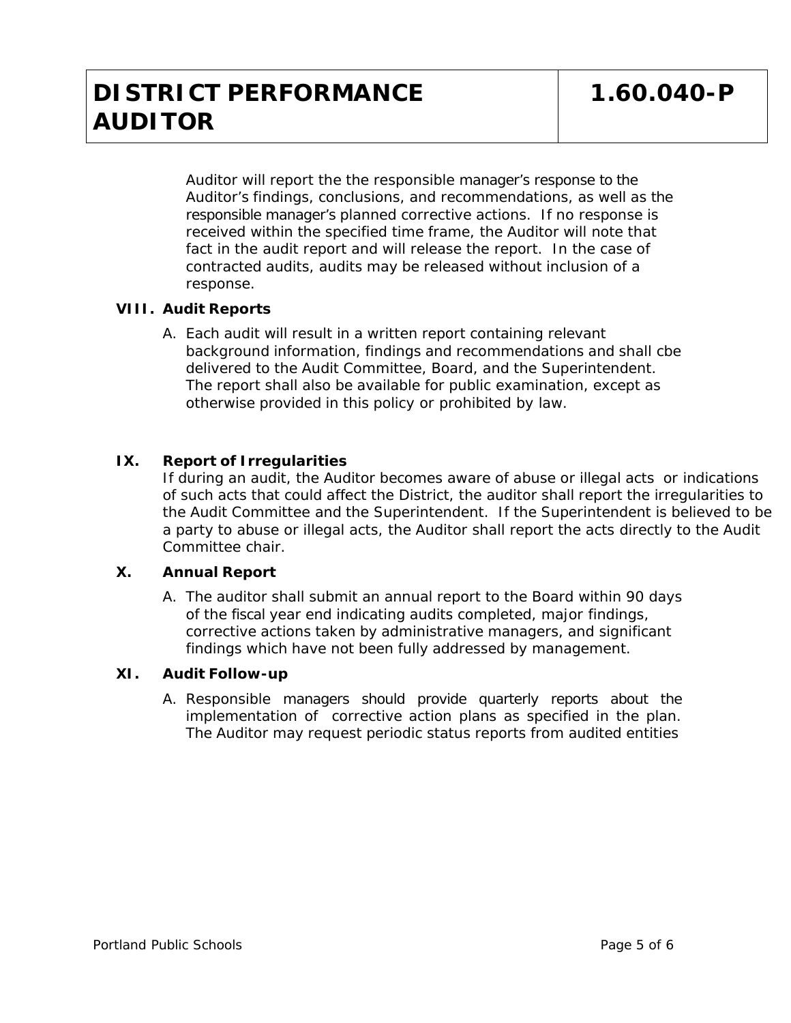Auditor will report the the responsible manager's response to the Auditor's findings, conclusions, and recommendations, as well as the responsible manager's planned corrective actions. If no response is received within the specified time frame, the Auditor will note that fact in the audit report and will release the report. In the case of contracted audits, audits may be released without inclusion of a response.

# **VIII. Audit Reports**

A. Each audit will result in a written report containing relevant background information, findings and recommendations and shall cbe delivered to the Audit Committee, Board, and the Superintendent. The report shall also be available for public examination, except as otherwise provided in this policy or prohibited by law.

# **IX. Report of Irregularities**

If during an audit, the Auditor becomes aware of abuse or illegal acts or indications of such acts that could affect the District, the auditor shall report the irregularities to the Audit Committee and the Superintendent. If the Superintendent is believed to be a party to abuse or illegal acts, the Auditor shall report the acts directly to the Audit Committee chair.

# **X. Annual Report**

A. The auditor shall submit an annual report to the Board within 90 days of the fiscal year end indicating audits completed, major findings, corrective actions taken by administrative managers, and significant findings which have not been fully addressed by management.

# **XI. Audit Follow-up**

A. Responsible managers should provide quarterly reports about the implementation of corrective action plans as specified in the plan. The Auditor may request periodic status reports from audited entities